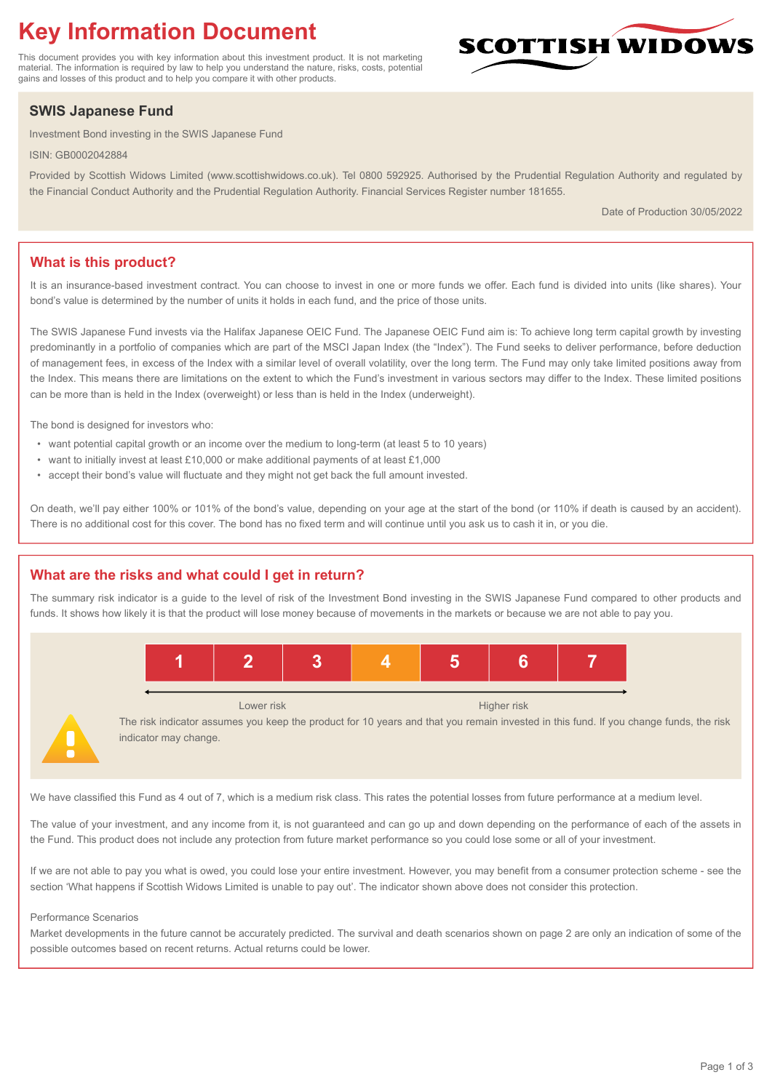# **Key Information Document**

This document provides you with key information about this investment product. It is not marketing material. The information is required by law to help you understand the nature, risks, costs, potential gains and losses of this product and to help you compare it with other products.

## **SWIS Japanese Fund**

Investment Bond investing in the SWIS Japanese Fund

ISIN: GB0002042884

Provided by Scottish Widows Limited (www.scottishwidows.co.uk). Tel 0800 592925. Authorised by the Prudential Regulation Authority and regulated by the Financial Conduct Authority and the Prudential Regulation Authority. Financial Services Register number 181655.

Date of Production 30/05/2022

**SCOTTISH WIDOW** 

### **What is this product?**

It is an insurance-based investment contract. You can choose to invest in one or more funds we offer. Each fund is divided into units (like shares). Your bond's value is determined by the number of units it holds in each fund, and the price of those units.

The SWIS Japanese Fund invests via the Halifax Japanese OEIC Fund. The Japanese OEIC Fund aim is: To achieve long term capital growth by investing predominantly in a portfolio of companies which are part of the MSCI Japan Index (the "Index"). The Fund seeks to deliver performance, before deduction of management fees, in excess of the Index with a similar level of overall volatility, over the long term. The Fund may only take limited positions away from the Index. This means there are limitations on the extent to which the Fund's investment in various sectors may differ to the Index. These limited positions can be more than is held in the Index (overweight) or less than is held in the Index (underweight).

The bond is designed for investors who:

- want potential capital growth or an income over the medium to long-term (at least 5 to 10 years)
- want to initially invest at least £10,000 or make additional payments of at least £1,000
- accept their bond's value will fluctuate and they might not get back the full amount invested.

On death, we'll pay either 100% or 101% of the bond's value, depending on your age at the start of the bond (or 110% if death is caused by an accident). There is no additional cost for this cover. The bond has no fixed term and will continue until you ask us to cash it in, or you die.

#### **What are the risks and what could I get in return?**

The summary risk indicator is a guide to the level of risk of the Investment Bond investing in the SWIS Japanese Fund compared to other products and funds. It shows how likely it is that the product will lose money because of movements in the markets or because we are not able to pay you.



The risk indicator assumes you keep the product for 10 years and that you remain invested in this fund. If you change funds, the risk indicator may change.

We have classified this Fund as 4 out of 7, which is a medium risk class. This rates the potential losses from future performance at a medium level.

The value of your investment, and any income from it, is not guaranteed and can go up and down depending on the performance of each of the assets in the Fund. This product does not include any protection from future market performance so you could lose some or all of your investment.

If we are not able to pay you what is owed, you could lose your entire investment. However, you may benefit from a consumer protection scheme - see the section 'What happens if Scottish Widows Limited is unable to pay out'. The indicator shown above does not consider this protection.

#### Performance Scenarios

Market developments in the future cannot be accurately predicted. The survival and death scenarios shown on page 2 are only an indication of some of the possible outcomes based on recent returns. Actual returns could be lower.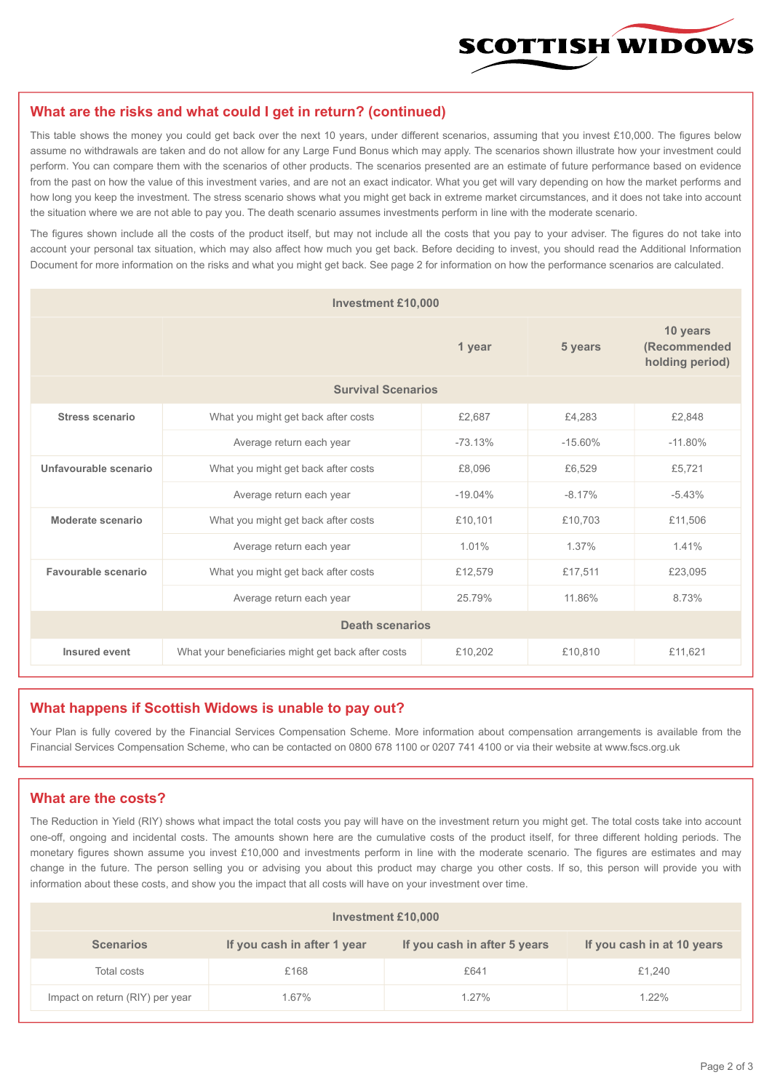

#### **What are the risks and what could I get in return? (continued)**

This table shows the money you could get back over the next 10 years, under different scenarios, assuming that you invest £10,000. The figures below assume no withdrawals are taken and do not allow for any Large Fund Bonus which may apply. The scenarios shown illustrate how your investment could perform. You can compare them with the scenarios of other products. The scenarios presented are an estimate of future performance based on evidence from the past on how the value of this investment varies, and are not an exact indicator. What you get will vary depending on how the market performs and how long you keep the investment. The stress scenario shows what you might get back in extreme market circumstances, and it does not take into account the situation where we are not able to pay you. The death scenario assumes investments perform in line with the moderate scenario.

The figures shown include all the costs of the product itself, but may not include all the costs that you pay to your adviser. The figures do not take into account your personal tax situation, which may also affect how much you get back. Before deciding to invest, you should read the Additional Information Document for more information on the risks and what you might get back. See page 2 for information on how the performance scenarios are calculated.

| <b>Investment £10,000</b> |                                                    |           |                                             |           |  |  |
|---------------------------|----------------------------------------------------|-----------|---------------------------------------------|-----------|--|--|
|                           |                                                    | 5 years   | 10 years<br>(Recommended<br>holding period) |           |  |  |
| <b>Survival Scenarios</b> |                                                    |           |                                             |           |  |  |
| <b>Stress scenario</b>    | What you might get back after costs                | £2,687    | £4,283                                      | £2,848    |  |  |
|                           | $-73.13%$<br>Average return each year              |           | $-15.60%$                                   | $-11.80%$ |  |  |
| Unfavourable scenario     | What you might get back after costs<br>£8,096      |           | £6,529                                      | £5,721    |  |  |
|                           | Average return each year                           | $-19.04%$ | $-8.17%$                                    | $-5.43%$  |  |  |
| Moderate scenario         | What you might get back after costs                | £10,101   | £10,703                                     | £11,506   |  |  |
|                           | Average return each year                           | 1.01%     | 1.37%                                       | 1.41%     |  |  |
| Favourable scenario       | What you might get back after costs                | £12,579   | £17,511                                     | £23,095   |  |  |
|                           | Average return each year                           | 25.79%    | 11.86%                                      | 8.73%     |  |  |
| <b>Death scenarios</b>    |                                                    |           |                                             |           |  |  |
| Insured event             | What your beneficiaries might get back after costs | £10,202   | £10,810                                     | £11,621   |  |  |

#### **What happens if Scottish Widows is unable to pay out?**

Your Plan is fully covered by the Financial Services Compensation Scheme. More information about compensation arrangements is available from the Financial Services Compensation Scheme, who can be contacted on 0800 678 1100 or 0207 741 4100 or via their website at www.fscs.org.uk

#### **What are the costs?**

The Reduction in Yield (RIY) shows what impact the total costs you pay will have on the investment return you might get. The total costs take into account one-off, ongoing and incidental costs. The amounts shown here are the cumulative costs of the product itself, for three different holding periods. The monetary figures shown assume you invest £10,000 and investments perform in line with the moderate scenario. The figures are estimates and may change in the future. The person selling you or advising you about this product may charge you other costs. If so, this person will provide you with information about these costs, and show you the impact that all costs will have on your investment over time.

| <b>Investment £10,000</b>       |                             |                              |                            |  |  |  |
|---------------------------------|-----------------------------|------------------------------|----------------------------|--|--|--|
| <b>Scenarios</b>                | If you cash in after 1 year | If you cash in after 5 years | If you cash in at 10 years |  |  |  |
| Total costs                     | £168                        | £641                         | £1,240                     |  |  |  |
| Impact on return (RIY) per year | 1.67%                       | $1.27\%$                     | $1.22\%$                   |  |  |  |